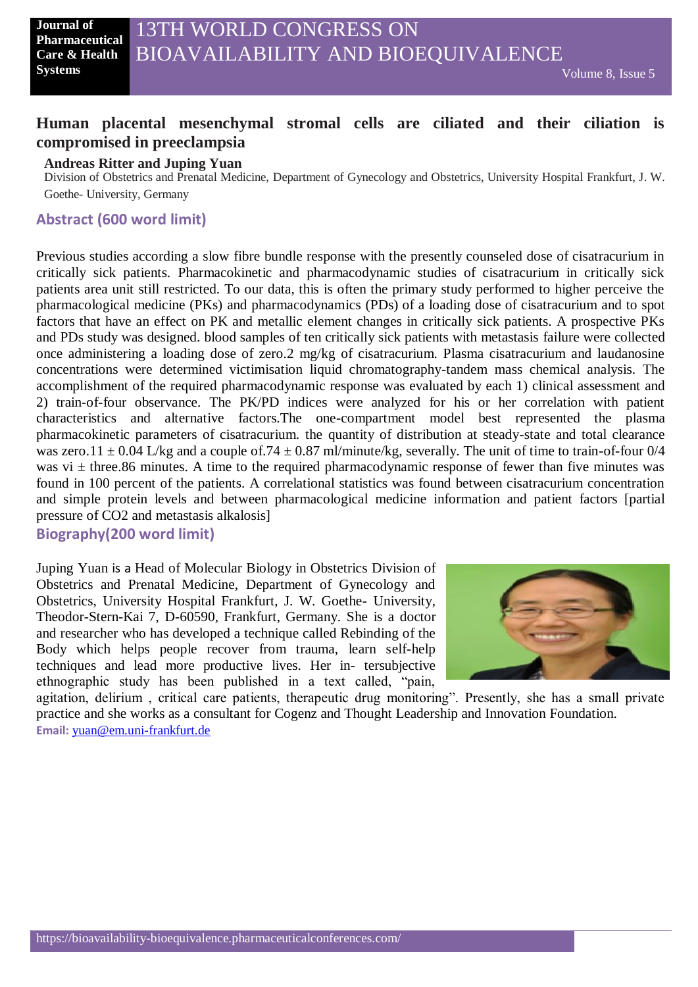# **Human placental mesenchymal stromal cells are ciliated and their ciliation is compromised in preeclampsia**

#### **Andreas Ritter and Juping Yuan**

Division of Obstetrics and Prenatal Medicine, Department of Gynecology and Obstetrics, University Hospital Frankfurt, J. W. Goethe- University, Germany

### **Abstract (600 word limit)**

Previous studies according a slow fibre bundle response with the presently counseled dose of cisatracurium in critically sick patients. Pharmacokinetic and pharmacodynamic studies of cisatracurium in critically sick patients area unit still restricted. To our data, this is often the primary study performed to higher perceive the pharmacological medicine (PKs) and pharmacodynamics (PDs) of a loading dose of cisatracurium and to spot factors that have an effect on PK and metallic element changes in critically sick patients. A prospective PKs and PDs study was designed. blood samples of ten critically sick patients with metastasis failure were collected once administering a loading dose of zero.2 mg/kg of cisatracurium. Plasma cisatracurium and laudanosine concentrations were determined victimisation liquid chromatography-tandem mass chemical analysis. The accomplishment of the required pharmacodynamic response was evaluated by each 1) clinical assessment and 2) train-of-four observance. The PK/PD indices were analyzed for his or her correlation with patient characteristics and alternative factors.The one-compartment model best represented the plasma pharmacokinetic parameters of cisatracurium. the quantity of distribution at steady-state and total clearance was zero.11  $\pm$  0.04 L/kg and a couple of.74  $\pm$  0.87 ml/minute/kg, severally. The unit of time to train-of-four 0/4 was vi  $\pm$  three.86 minutes. A time to the required pharmacodynamic response of fewer than five minutes was found in 100 percent of the patients. A correlational statistics was found between cisatracurium concentration and simple protein levels and between pharmacological medicine information and patient factors [partial pressure of CO2 and metastasis alkalosis]

**Biography(200 word limit)**

Juping Yuan is a Head of Molecular Biology in Obstetrics Division of Obstetrics and Prenatal Medicine, Department of Gynecology and Obstetrics, University Hospital Frankfurt, J. W. Goethe- University, Theodor-Stern-Kai 7, D-60590, Frankfurt, Germany. She is a doctor and researcher who has developed a technique called Rebinding of the Body which helps people recover from trauma, learn self-help techniques and lead more productive lives. Her in- tersubjective ethnographic study has been published in a text called, "pain,



agitation, delirium , critical care patients, therapeutic drug monitoring". Presently, she has a small private practice and she works as a consultant for Cogenz and Thought Leadership and Innovation Foundation. **Email:** [yuan@em.uni-frankfurt.de](mailto:yuan@em.uni-frankfurt.de)